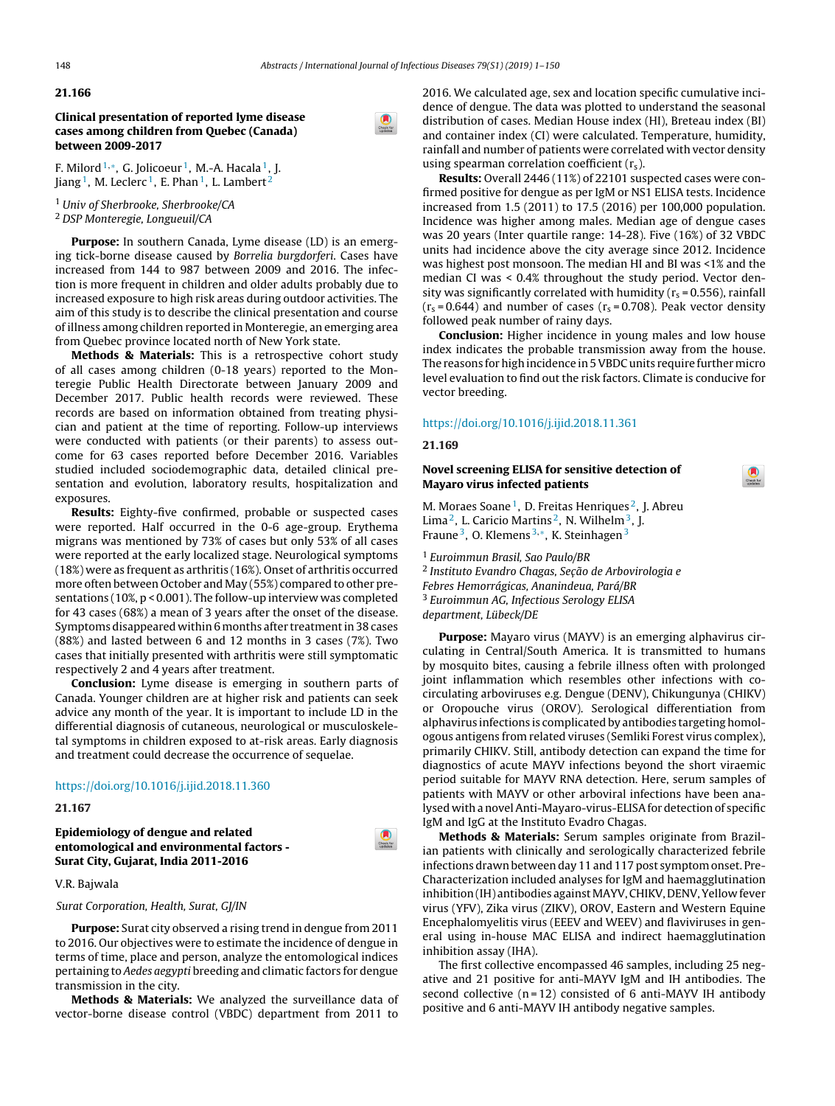#### **21.166**

**Clinical presentation of reported lyme disease cases among children from Quebec (Canada) between 2009-2017**



F. Milord<sup>1,\*</sup>, G. Jolicoeur<sup>1</sup>, M.-A. Hacala<sup>1</sup>, J. Jiang<sup>1</sup>, M. Leclerc<sup>1</sup>, E. Phan<sup>1</sup>, L. Lambert<sup>2</sup>

<sup>1</sup> Univ of Sherbrooke, Sherbrooke/CA <sup>2</sup> DSP Monteregie, Longueuil/CA

**Purpose:** In southern Canada, Lyme disease (LD) is an emerging tick-borne disease caused by Borrelia burgdorferi. Cases have increased from 144 to 987 between 2009 and 2016. The infection is more frequent in children and older adults probably due to increased exposure to high risk areas during outdoor activities. The aim of this study is to describe the clinical presentation and course of illness among children reported in Monteregie, an emerging area from Quebec province located north of New York state.

**Methods & Materials:** This is a retrospective cohort study of all cases among children (0-18 years) reported to the Monteregie Public Health Directorate between January 2009 and December 2017. Public health records were reviewed. These records are based on information obtained from treating physician and patient at the time of reporting. Follow-up interviews were conducted with patients (or their parents) to assess outcome for 63 cases reported before December 2016. Variables studied included sociodemographic data, detailed clinical presentation and evolution, laboratory results, hospitalization and exposures.

**Results:** Eighty-five confirmed, probable or suspected cases were reported. Half occurred in the 0-6 age-group. Erythema migrans was mentioned by 73% of cases but only 53% of all cases were reported at the early localized stage. Neurological symptoms (18%) were as frequent as arthritis (16%). Onset of arthritis occurred more often between October and May (55%) compared to other presentations (10%, p < 0.001). The follow-up interview was completed for 43 cases (68%) a mean of 3 years after the onset of the disease. Symptoms disappeared within 6 months after treatment in 38 cases (88%) and lasted between 6 and 12 months in 3 cases (7%). Two cases that initially presented with arthritis were still symptomatic respectively 2 and 4 years after treatment.

**Conclusion:** Lyme disease is emerging in southern parts of Canada. Younger children are at higher risk and patients can seek advice any month of the year. It is important to include LD in the differential diagnosis of cutaneous, neurological or musculoskeletal symptoms in children exposed to at-risk areas. Early diagnosis and treatment could decrease the occurrence of sequelae.

### <https://doi.org/10.1016/j.ijid.2018.11.360>

# **21.167**

**Epidemiology of dengue and related entomological and environmental factors - Surat City, Gujarat, India 2011-2016**

# V.R. Bajwala

Surat Corporation, Health, Surat, GJ/IN

**Purpose:** Surat city observed a rising trend in dengue from 2011 to 2016. Our objectives were to estimate the incidence of dengue in terms of time, place and person, analyze the entomological indices pertaining to Aedes aegypti breeding and climatic factors for dengue transmission in the city.

**Methods & Materials:** We analyzed the surveillance data of vector-borne disease control (VBDC) department from 2011 to

2016. We calculated age, sex and location specific cumulative incidence of dengue. The data was plotted to understand the seasonal distribution of cases. Median House index (HI), Breteau index (BI) and container index (CI) were calculated. Temperature, humidity, rainfall and number of patients were correlated with vector density using spearman correlation coefficient  $(r_s)$ .

**Results:** Overall 2446 (11%) of 22101 suspected cases were confirmed positive for dengue as per IgM or NS1 ELISA tests. Incidence increased from 1.5 (2011) to 17.5 (2016) per 100,000 population. Incidence was higher among males. Median age of dengue cases was 20 years (Inter quartile range: 14-28). Five (16%) of 32 VBDC units had incidence above the city average since 2012. Incidence was highest post monsoon. The median HI and BI was <1% and the median CI was < 0.4% throughout the study period. Vector density was significantly correlated with humidity ( $r_s$  = 0.556), rainfall  $(r<sub>s</sub>=0.644)$  and number of cases  $(r<sub>s</sub>=0.708)$ . Peak vector density followed peak number of rainy days.

**Conclusion:** Higher incidence in young males and low house index indicates the probable transmission away from the house. The reasons for high incidence in 5 VBDC units require further micro level evaluation to find out the risk factors. Climate is conducive for vector breeding.

 $\bullet$ 

#### <https://doi.org/10.1016/j.ijid.2018.11.361>

#### **21.169**

# **Novel screening ELISA for sensitive detection of Mayaro virus infected patients**

M. Moraes Soane<sup>1</sup>, D. Freitas Henriques<sup>2</sup>, J. Abreu Lima<sup>2</sup>, L. Caricio Martins<sup>2</sup>, N. Wilhelm<sup>3</sup>, J. Fraune 3, O. Klemens <sup>3</sup>,∗, K. Steinhagen<sup>3</sup>

<sup>1</sup> Euroimmun Brasil, Sao Paulo/BR <sup>2</sup> Instituto Evandro Chagas, Seção de Arbovirologia e Febres Hemorrágicas, Ananindeua, Pará/BR <sup>3</sup> Euroimmun AG, Infectious Serology ELISA department, Lübeck/DE

**Purpose:** Mayaro virus (MAYV) is an emerging alphavirus circulating in Central/South America. It is transmitted to humans by mosquito bites, causing a febrile illness often with prolonged joint inflammation which resembles other infections with cocirculating arboviruses e.g. Dengue (DENV), Chikungunya (CHIKV) or Oropouche virus (OROV). Serological differentiation from alphavirus infections is complicated by antibodies targeting homologous antigens from related viruses (Semliki Forest virus complex), primarily CHIKV. Still, antibody detection can expand the time for diagnostics of acute MAYV infections beyond the short viraemic period suitable for MAYV RNA detection. Here, serum samples of patients with MAYV or other arboviral infections have been analysed with a novel Anti-Mayaro-virus-ELISA for detection of specific IgM and IgG at the Instituto Evadro Chagas.

**Methods & Materials:** Serum samples originate from Brazilian patients with clinically and serologically characterized febrile infections drawn between day 11 and 117 post symptom onset. Pre-Characterization included analyses for IgM and haemagglutination inhibition (IH) antibodies against MAYV, CHIKV, DENV, Yellow fever virus (YFV), Zika virus (ZIKV), OROV, Eastern and Western Equine Encephalomyelitis virus (EEEV and WEEV) and flaviviruses in general using in-house MAC ELISA and indirect haemagglutination inhibition assay (IHA).

The first collective encompassed 46 samples, including 25 negative and 21 positive for anti-MAYV IgM and IH antibodies. The second collective  $(n = 12)$  consisted of 6 anti-MAYV IH antibody positive and 6 anti-MAYV IH antibody negative samples.